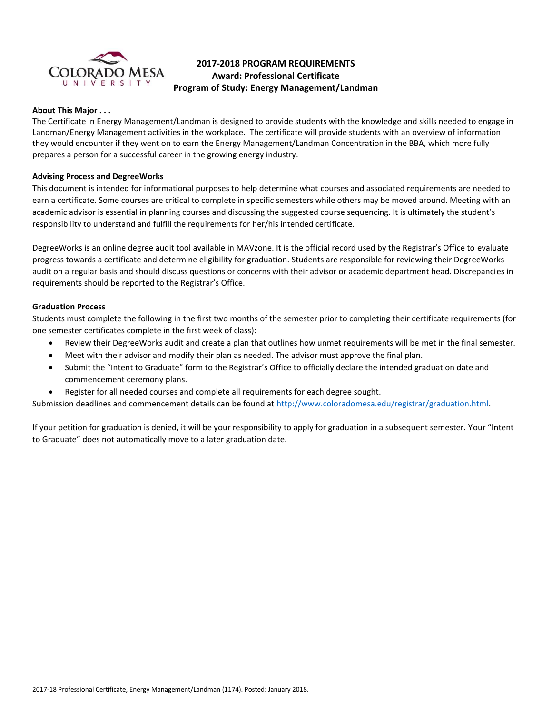

# **2017-2018 PROGRAM REQUIREMENTS Award: Professional Certificate Program of Study: Energy Management/Landman**

## **About This Major . . .**

The Certificate in Energy Management/Landman is designed to provide students with the knowledge and skills needed to engage in Landman/Energy Management activities in the workplace. The certificate will provide students with an overview of information they would encounter if they went on to earn the Energy Management/Landman Concentration in the BBA, which more fully prepares a person for a successful career in the growing energy industry.

#### **Advising Process and DegreeWorks**

This document is intended for informational purposes to help determine what courses and associated requirements are needed to earn a certificate. Some courses are critical to complete in specific semesters while others may be moved around. Meeting with an academic advisor is essential in planning courses and discussing the suggested course sequencing. It is ultimately the student's responsibility to understand and fulfill the requirements for her/his intended certificate.

DegreeWorks is an online degree audit tool available in MAVzone. It is the official record used by the Registrar's Office to evaluate progress towards a certificate and determine eligibility for graduation. Students are responsible for reviewing their DegreeWorks audit on a regular basis and should discuss questions or concerns with their advisor or academic department head. Discrepancies in requirements should be reported to the Registrar's Office.

## **Graduation Process**

Students must complete the following in the first two months of the semester prior to completing their certificate requirements (for one semester certificates complete in the first week of class):

- Review their DegreeWorks audit and create a plan that outlines how unmet requirements will be met in the final semester.
- Meet with their advisor and modify their plan as needed. The advisor must approve the final plan.
- Submit the "Intent to Graduate" form to the Registrar's Office to officially declare the intended graduation date and commencement ceremony plans.
- Register for all needed courses and complete all requirements for each degree sought.

Submission deadlines and commencement details can be found at [http://www.coloradomesa.edu/registrar/graduation.html.](http://www.coloradomesa.edu/registrar/graduation.html)

If your petition for graduation is denied, it will be your responsibility to apply for graduation in a subsequent semester. Your "Intent to Graduate" does not automatically move to a later graduation date.